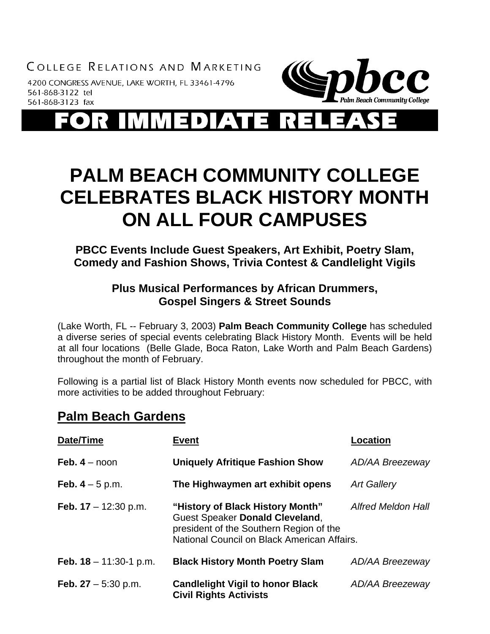COLLEGE RELATIONS AND MARKETING

4200 CONGRESS AVENUE, LAKE WORTH, FL 33461-4796 561-868-3122 tel 561-868-3123 fax



 $\begin{array}{c} \begin{array}{c} \begin{array}{c} \end{array} \end{array} \end{array}$ 7 A V

# **PALM BEACH COMMUNITY COLLEGE CELEBRATES BLACK HISTORY MONTH ON ALL FOUR CAMPUSES**

**PBCC Events Include Guest Speakers, Art Exhibit, Poetry Slam, Comedy and Fashion Shows, Trivia Contest & Candlelight Vigils** 

### **Plus Musical Performances by African Drummers, Gospel Singers & Street Sounds**

(Lake Worth, FL -- February 3, 2003) **Palm Beach Community College** has scheduled a diverse series of special events celebrating Black History Month. Events will be held at all four locations (Belle Glade, Boca Raton, Lake Worth and Palm Beach Gardens) throughout the month of February.

Following is a partial list of Black History Month events now scheduled for PBCC, with more activities to be added throughout February:

### **Palm Beach Gardens**

| Date/Time                       | <b>Event</b>                                                                                                                                                  | <b>Location</b>           |
|---------------------------------|---------------------------------------------------------------------------------------------------------------------------------------------------------------|---------------------------|
| Feb. $4 -$ noon                 | <b>Uniquely Afritique Fashion Show</b>                                                                                                                        | <b>AD/AA Breezeway</b>    |
| <b>Feb.</b> $4 - 5$ p.m.        | The Highwaymen art exhibit opens                                                                                                                              | <b>Art Gallery</b>        |
| <b>Feb.</b> $17 - 12:30$ p.m.   | "History of Black History Month"<br>Guest Speaker Donald Cleveland,<br>president of the Southern Region of the<br>National Council on Black American Affairs. | <b>Alfred Meldon Hall</b> |
| <b>Feb. 18</b> $-$ 11:30-1 p.m. | <b>Black History Month Poetry Slam</b>                                                                                                                        | <b>AD/AA Breezeway</b>    |
| Feb. $27 - 5:30$ p.m.           | <b>Candlelight Vigil to honor Black</b><br><b>Civil Rights Activists</b>                                                                                      | <b>AD/AA Breezeway</b>    |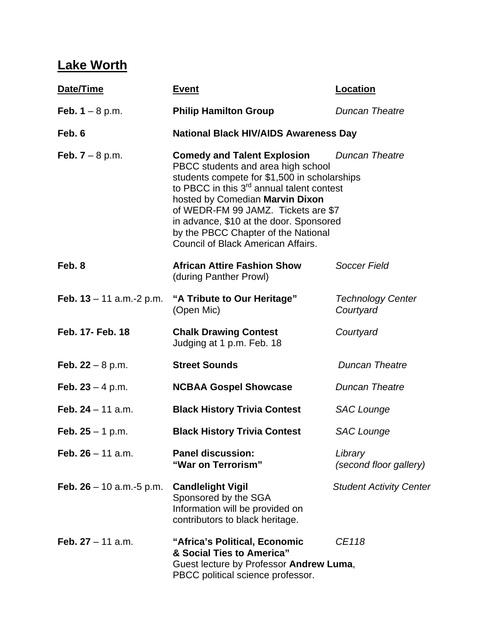# **Lake Worth**

| Date/Time                       | <u>Event</u>                                                                                                                                                                                                                                                                                                                                                                                       | <b>Location</b>                       |  |
|---------------------------------|----------------------------------------------------------------------------------------------------------------------------------------------------------------------------------------------------------------------------------------------------------------------------------------------------------------------------------------------------------------------------------------------------|---------------------------------------|--|
| Feb. $1 - 8$ p.m.               | <b>Philip Hamilton Group</b>                                                                                                                                                                                                                                                                                                                                                                       | <b>Duncan Theatre</b>                 |  |
| Feb. 6                          | <b>National Black HIV/AIDS Awareness Day</b>                                                                                                                                                                                                                                                                                                                                                       |                                       |  |
| <b>Feb.</b> $7 - 8$ p.m.        | <b>Comedy and Talent Explosion</b><br><b>Duncan Theatre</b><br>PBCC students and area high school<br>students compete for \$1,500 in scholarships<br>to PBCC in this $3rd$ annual talent contest<br>hosted by Comedian Marvin Dixon<br>of WEDR-FM 99 JAMZ. Tickets are \$7<br>in advance, \$10 at the door. Sponsored<br>by the PBCC Chapter of the National<br>Council of Black American Affairs. |                                       |  |
| Feb. 8                          | <b>African Attire Fashion Show</b><br>(during Panther Prowl)                                                                                                                                                                                                                                                                                                                                       | Soccer Field                          |  |
| Feb. $13 - 11$ a.m.-2 p.m.      | "A Tribute to Our Heritage"<br>(Open Mic)                                                                                                                                                                                                                                                                                                                                                          | <b>Technology Center</b><br>Courtyard |  |
| Feb. 17- Feb. 18                | <b>Chalk Drawing Contest</b><br>Judging at 1 p.m. Feb. 18                                                                                                                                                                                                                                                                                                                                          | Courtyard                             |  |
| <b>Feb.</b> $22 - 8$ p.m.       | <b>Street Sounds</b>                                                                                                                                                                                                                                                                                                                                                                               | <b>Duncan Theatre</b>                 |  |
| Feb. $23 - 4$ p.m.              | <b>NCBAA Gospel Showcase</b>                                                                                                                                                                                                                                                                                                                                                                       | <b>Duncan Theatre</b>                 |  |
| Feb. $24 - 11$ a.m.             | <b>Black History Trivia Contest</b>                                                                                                                                                                                                                                                                                                                                                                | <b>SAC Lounge</b>                     |  |
| <b>Feb. 25</b> – 1 p.m.         | <b>Black History Trivia Contest</b>                                                                                                                                                                                                                                                                                                                                                                | <b>SAC Lounge</b>                     |  |
| Feb. $26 - 11$ a.m.             | <b>Panel discussion:</b><br>"War on Terrorism"                                                                                                                                                                                                                                                                                                                                                     | Library<br>(second floor gallery)     |  |
| <b>Feb. 26</b> – 10 a.m.-5 p.m. | <b>Candlelight Vigil</b><br>Sponsored by the SGA<br>Information will be provided on<br>contributors to black heritage.                                                                                                                                                                                                                                                                             | <b>Student Activity Center</b>        |  |
| Feb. $27 - 11$ a.m.             | "Africa's Political, Economic<br>& Social Ties to America"<br>Guest lecture by Professor Andrew Luma,<br>PBCC political science professor.                                                                                                                                                                                                                                                         | CE118                                 |  |